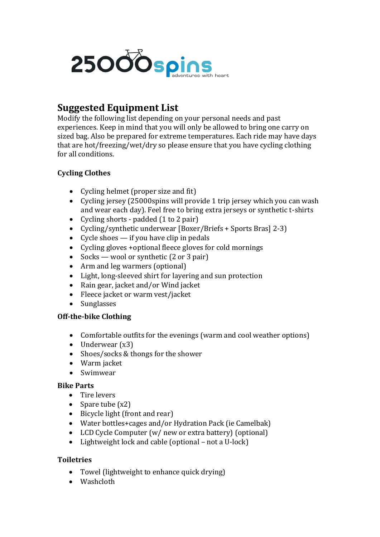

# **Suggested Equipment List**

Modify the following list depending on your personal needs and past experiences. Keep in mind that you will only be allowed to bring one carry on sized bag. Also be prepared for extreme temperatures. Each ride may have days that are hot/freezing/wet/dry so please ensure that you have cycling clothing for all conditions.

# **Cycling Clothes**

- Cycling helmet (proper size and fit)
- Cycling jersey (25000spins will provide 1 trip jersey which you can wash and wear each day). Feel free to bring extra jerseys or synthetic t-shirts
- Cycling shorts padded (1 to 2 pair)
- Cycling/synthetic underwear [Boxer/Briefs + Sports Bras] 2-3)
- Cycle shoes  $-$  if you have clip in pedals
- Cycling gloves +optional fleece gloves for cold mornings
- Socks wool or synthetic (2 or 3 pair)
- Arm and leg warmers (optional)
- Light, long-sleeved shirt for layering and sun protection
- Rain gear, jacket and/or Wind jacket
- Fleece jacket or warm vest/jacket
- Sunglasses

# **Off-the-bike Clothing**

- Comfortable outfits for the evenings (warm and cool weather options)
- Underwear (x3)
- Shoes/socks & thongs for the shower
- Warm jacket
- Swimwear

#### **Bike Parts**

- Tire levers
- Spare tube  $(x2)$
- Bicycle light (front and rear)
- Water bottles+cages and/or Hydration Pack (ie Camelbak)
- LCD Cycle Computer (w/ new or extra battery) (optional)
- Lightweight lock and cable (optional not a U-lock)

#### **Toiletries**

- Towel (lightweight to enhance quick drying)
- Washcloth